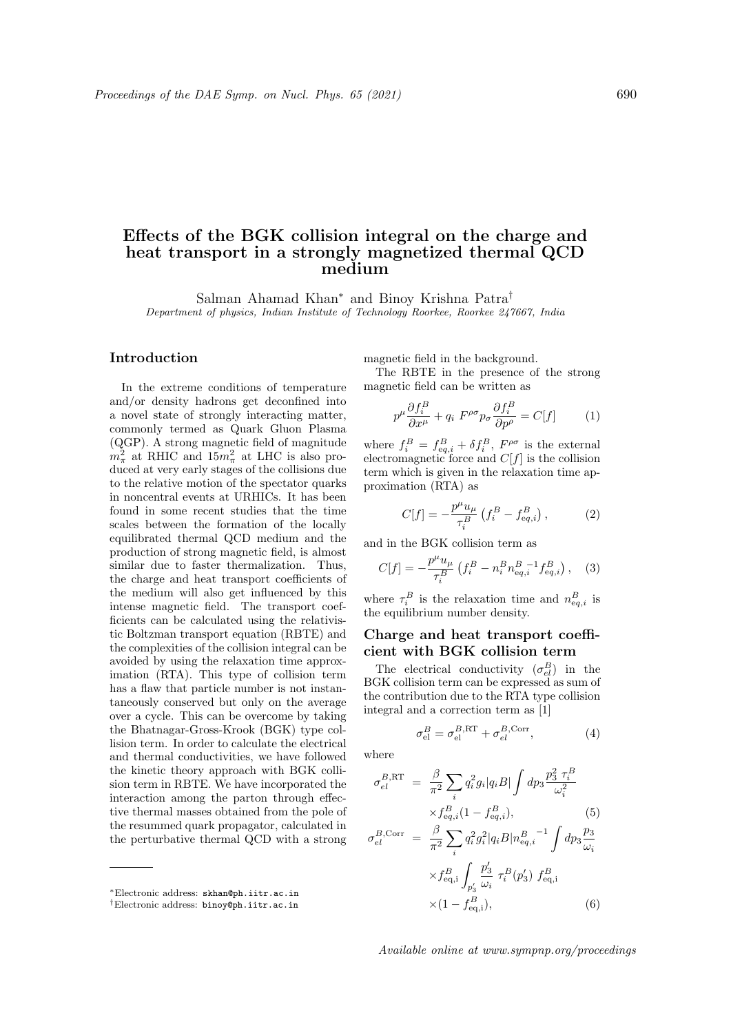## Effects of the BGK collision integral on the charge and heat transport in a strongly magnetized thermal QCD medium

Salman Ahamad Khan<sup>∗</sup> and Binoy Krishna Patra† Department of physics, Indian Institute of Technology Roorkee, Roorkee 247667, India

## Introduction

In the extreme conditions of temperature and/or density hadrons get deconfined into a novel state of strongly interacting matter, commonly termed as Quark Gluon Plasma (QGP). A strong magnetic field of magnitude  $m_{\pi}^2$  at RHIC and  $15m_{\pi}^2$  at LHC is also produced at very early stages of the collisions due to the relative motion of the spectator quarks in noncentral events at URHICs. It has been found in some recent studies that the time scales between the formation of the locally equilibrated thermal QCD medium and the production of strong magnetic field, is almost similar due to faster thermalization. Thus, the charge and heat transport coefficients of the medium will also get influenced by this intense magnetic field. The transport coefficients can be calculated using the relativistic Boltzman transport equation (RBTE) and the complexities of the collision integral can be avoided by using the relaxation time approximation (RTA). This type of collision term has a flaw that particle number is not instantaneously conserved but only on the average over a cycle. This can be overcome by taking the Bhatnagar-Gross-Krook (BGK) type collision term. In order to calculate the electrical and thermal conductivities, we have followed the kinetic theory approach with BGK collision term in RBTE. We have incorporated the interaction among the parton through effective thermal masses obtained from the pole of the resummed quark propagator, calculated in the perturbative thermal QCD with a strong

magnetic field in the background.

The RBTE in the presence of the strong magnetic field can be written as

$$
p^{\mu} \frac{\partial f_i^B}{\partial x^{\mu}} + q_i F^{\rho \sigma} p_{\sigma} \frac{\partial f_i^B}{\partial p^{\rho}} = C[f] \tag{1}
$$

where  $f_i^B = f_{eq,i}^B + \delta f_i^B$ ,  $F^{\rho\sigma}$  is the external electromagnetic force and  $C[f]$  is the collision term which is given in the relaxation time approximation (RTA) as

$$
C[f] = -\frac{p^{\mu}u_{\mu}}{\tau_i^B} \left( f_i^B - f_{\text{eq},i}^B \right), \tag{2}
$$

and in the BGK collision term as

$$
C[f] = -\frac{p^{\mu}u_{\mu}}{\tau_i^B} \left( f_i^B - n_i^B n_{\text{eq},i}^B \right)_{\text{eq},i}^{-1} f_{\text{eq},i}^B \right), \quad (3)
$$

where  $\tau_i^B$  is the relaxation time and  $n_{eq,i}^B$  is the equilibrium number density.

## Charge and heat transport coefficient with BGK collision term

The electrical conductivity  $(\sigma_{el}^B)$  in the BGK collision term can be expressed as sum of the contribution due to the RTA type collision integral and a correction term as [1]

$$
\sigma_{\rm el}^B = \sigma_{\rm el}^{B,\rm RT} + \sigma_{el}^{B,\rm Corr},\tag{4}
$$

where

$$
\sigma_{el}^{B,\text{RT}} = \frac{\beta}{\pi^2} \sum_{i} q_i^2 g_i |q_i B| \int dp_3 \frac{p_3^2 \tau_i^B}{\omega_i^2} \times f_{eq,i}^B (1 - f_{eq,i}^B), \tag{5}
$$

$$
\sigma_{el}^{B,Corr} = \frac{\beta}{\pi^2} \sum_{i} q_i^2 g_i^2 |q_i B| n_{eq,i}^{B}^{-1} \int dp_3 \frac{p_3}{\omega_i}
$$

$$
\times f_{eq,i}^B \int_{p'_3} \frac{p'_3}{\omega_i} \tau_i^B(p'_3) f_{eq,i}^B
$$

$$
\times (1 - f_{eq,i}^B), \qquad (6)
$$

Available online at www.sympnp.org/proceedings

<sup>∗</sup>Electronic address: skhan@ph.iitr.ac.in

<sup>†</sup>Electronic address: binoy@ph.iitr.ac.in